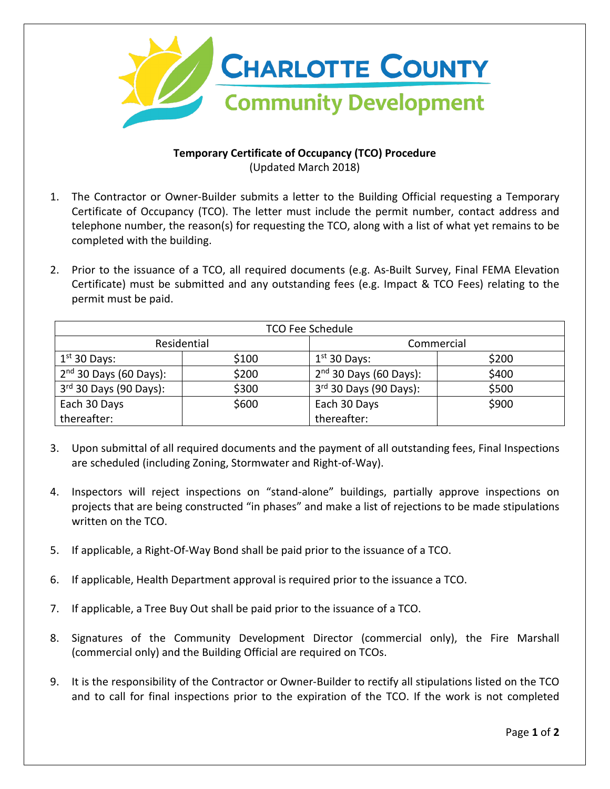

## **Temporary Certificate of Occupancy (TCO) Procedure** (Updated March 2018)

- 1. The Contractor or Owner-Builder submits a letter to the Building Official requesting a Temporary Certificate of Occupancy (TCO). The letter must include the permit number, contact address and telephone number, the reason(s) for requesting the TCO, along with a list of what yet remains to be completed with the building.
- 2. Prior to the issuance of a TCO, all required documents (e.g. As-Built Survey, Final FEMA Elevation Certificate) must be submitted and any outstanding fees (e.g. Impact & TCO Fees) relating to the permit must be paid.

| <b>TCO Fee Schedule</b>  |       |                          |       |
|--------------------------|-------|--------------------------|-------|
| Residential              |       | Commercial               |       |
| $1st$ 30 Days:           | \$100 | $1st$ 30 Days:           | \$200 |
| $2nd$ 30 Days (60 Days): | \$200 | $2nd$ 30 Days (60 Days): | \$400 |
| $3rd$ 30 Days (90 Days): | \$300 | $3rd$ 30 Days (90 Days): | \$500 |
| Each 30 Days             | \$600 | Each 30 Days             | \$900 |
| thereafter:              |       | thereafter:              |       |

- 3. Upon submittal of all required documents and the payment of all outstanding fees, Final Inspections are scheduled (including Zoning, Stormwater and Right-of-Way).
- 4. Inspectors will reject inspections on "stand-alone" buildings, partially approve inspections on projects that are being constructed "in phases" and make a list of rejections to be made stipulations written on the TCO.
- 5. If applicable, a Right-Of-Way Bond shall be paid prior to the issuance of a TCO.
- 6. If applicable, Health Department approval is required prior to the issuance a TCO.
- 7. If applicable, a Tree Buy Out shall be paid prior to the issuance of a TCO.
- 8. Signatures of the Community Development Director (commercial only), the Fire Marshall (commercial only) and the Building Official are required on TCOs.
- 9. It is the responsibility of the Contractor or Owner-Builder to rectify all stipulations listed on the TCO and to call for final inspections prior to the expiration of the TCO. If the work is not completed